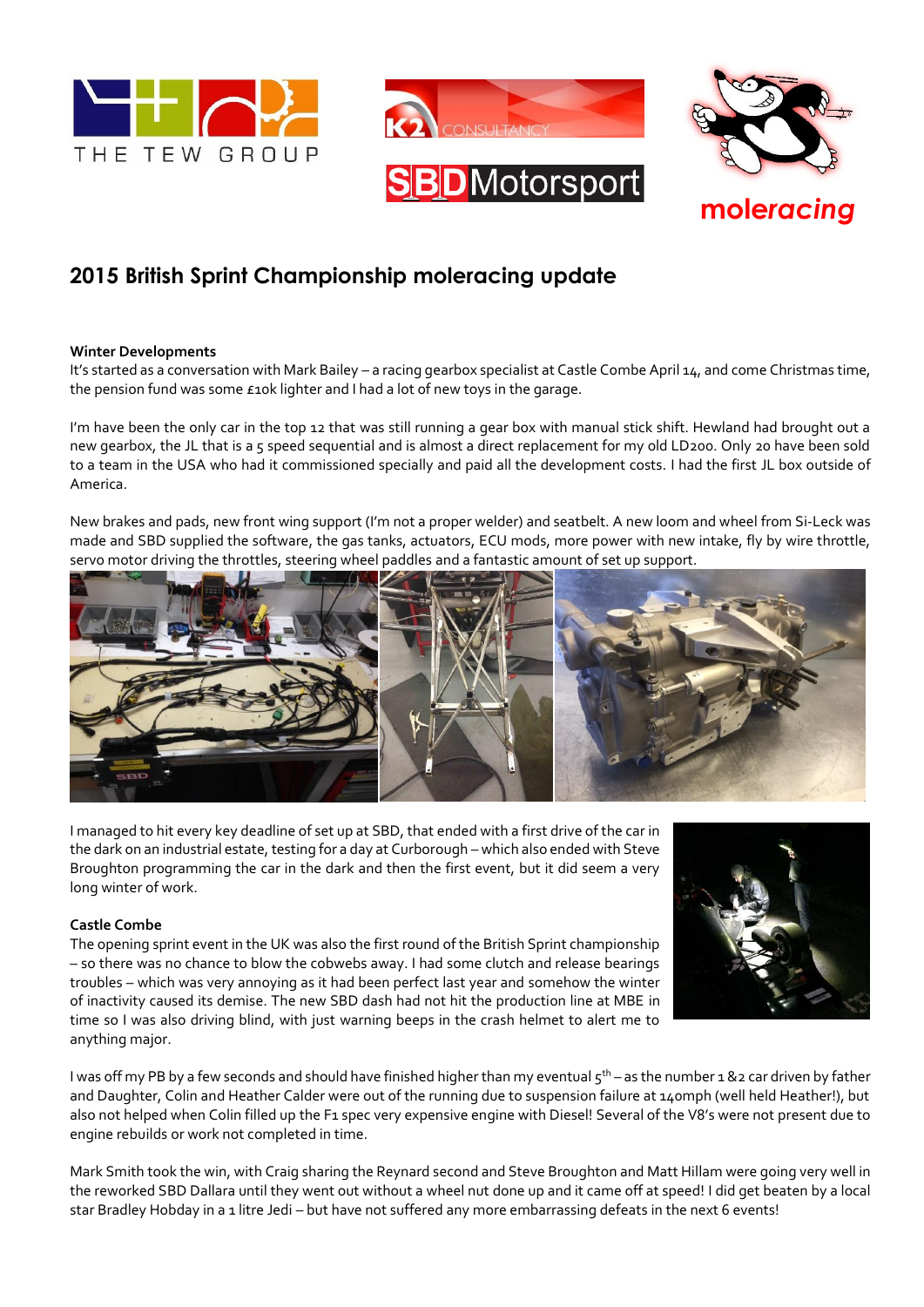



# **2015 British Sprint Championship moleracing update**

## **Winter Developments**

It's started as a conversation with Mark Bailey – a racing gearbox specialist at Castle Combe April 14, and come Christmas time, the pension fund was some £10k lighter and I had a lot of new toys in the garage.

I'm have been the only car in the top 12 that was still running a gear box with manual stick shift. Hewland had brought out a new gearbox, the JL that is a 5 speed sequential and is almost a direct replacement for my old LD200. Only 20 have been sold to a team in the USA who had it commissioned specially and paid all the development costs. I had the first JL box outside of America.

New brakes and pads, new front wing support (I'm not a proper welder) and seatbelt. A new loom and wheel from Si-Leck was made and SBD supplied the software, the gas tanks, actuators, ECU mods, more power with new intake, fly by wire throttle, servo motor driving the throttles, steering wheel paddles and a fantastic amount of set up support.



I managed to hit every key deadline of set up at SBD, that ended with a first drive of the car in the dark on an industrial estate, testing for a day at Curborough – which also ended with Steve Broughton programming the car in the dark and then the first event, but it did seem a very long winter of work.

## **Castle Combe**

The opening sprint event in the UK was also the first round of the British Sprint championship – so there was no chance to blow the cobwebs away. I had some clutch and release bearings troubles – which was very annoying as it had been perfect last year and somehow the winter of inactivity caused its demise. The new SBD dash had not hit the production line at MBE in time so I was also driving blind, with just warning beeps in the crash helmet to alert me to anything major.



I was off my PB by a few seconds and should have finished higher than my eventual  $5^{th}$  – as the number 1 &2 car driven by father and Daughter, Colin and Heather Calder were out of the running due to suspension failure at 140mph (well held Heather!), but also not helped when Colin filled up the F1 spec very expensive engine with Diesel! Several of the V8's were not present due to engine rebuilds or work not completed in time.

Mark Smith took the win, with Craig sharing the Reynard second and Steve Broughton and Matt Hillam were going very well in the reworked SBD Dallara until they went out without a wheel nut done up and it came off at speed! I did get beaten by a local star Bradley Hobday in a 1 litre Jedi – but have not suffered any more embarrassing defeats in the next 6 events!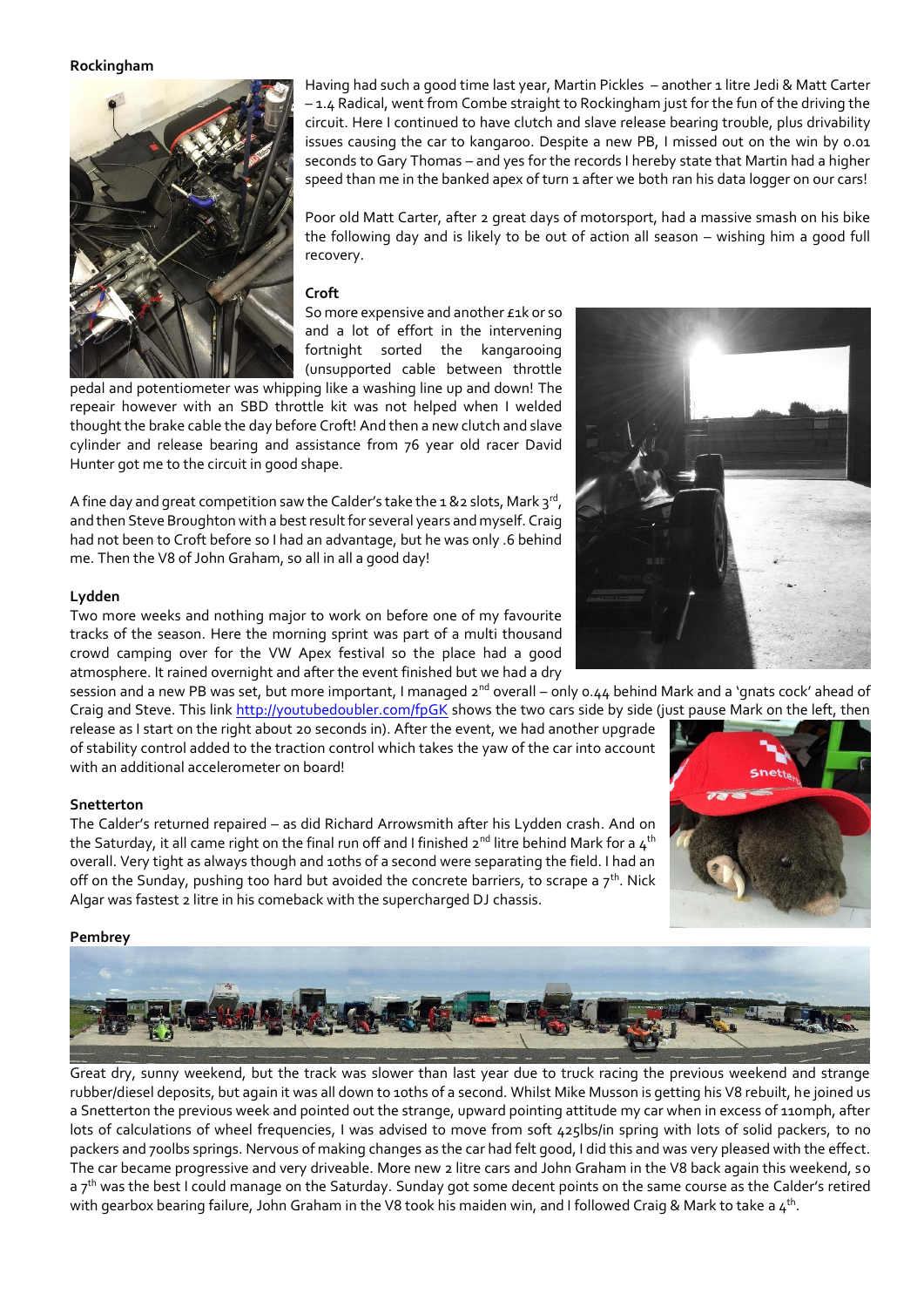#### **Rockingham**



Having had such a good time last year, Martin Pickles – another 1 litre Jedi & Matt Carter – 1.4 Radical, went from Combe straight to Rockingham just for the fun of the driving the circuit. Here I continued to have clutch and slave release bearing trouble, plus drivability issues causing the car to kangaroo. Despite a new PB, I missed out on the win by 0.01 seconds to Gary Thomas – and yes for the records I hereby state that Martin had a higher speed than me in the banked apex of turn 1 after we both ran his data logger on our cars!

Poor old Matt Carter, after 2 great days of motorsport, had a massive smash on his bike the following day and is likely to be out of action all season – wishing him a good full recovery.

## **Croft**

So more expensive and another £1k or so and a lot of effort in the intervening fortnight sorted the kangarooing (unsupported cable between throttle

pedal and potentiometer was whipping like a washing line up and down! The repeair however with an SBD throttle kit was not helped when I welded thought the brake cable the day before Croft! And then a new clutch and slave cylinder and release bearing and assistance from 76 year old racer David Hunter got me to the circuit in good shape.

A fine day and great competition saw the Calder's take the 1 &2 slots, Mark 3rd, and then Steve Broughton with a best result for several years and myself. Craig had not been to Croft before so I had an advantage, but he was only .6 behind me. Then the V8 of John Graham, so all in all a good day!

#### **Lydden**

Two more weeks and nothing major to work on before one of my favourite tracks of the season. Here the morning sprint was part of a multi thousand crowd camping over for the VW Apex festival so the place had a good atmosphere. It rained overnight and after the event finished but we had a dry

session and a new PB was set, but more important, I managed 2<sup>nd</sup> overall – only 0.44 behind Mark and a 'gnats cock' ahead of Craig and Steve. This link<http://youtubedoubler.com/fpGK> shows the two cars side by side (just pause Mark on the left, then

release as I start on the right about 20 seconds in). After the event, we had another upgrade of stability control added to the traction control which takes the yaw of the car into account with an additional accelerometer on board!

#### **Snetterton**

The Calder's returned repaired – as did Richard Arrowsmith after his Lydden crash. And on the Saturday, it all came right on the final run off and I finished  $2^{nd}$  litre behind Mark for a  $4^{th}$ overall. Very tight as always though and 10ths of a second were separating the field. I had an off on the Sunday, pushing too hard but avoided the concrete barriers, to scrape a  $7<sup>th</sup>$ . Nick Algar was fastest 2 litre in his comeback with the supercharged DJ chassis.



## **Pembrey**



Great dry, sunny weekend, but the track was slower than last year due to truck racing the previous weekend and strange rubber/diesel deposits, but again it was all down to 10ths of a second. Whilst Mike Musson is getting his V8 rebuilt, he joined us a Snetterton the previous week and pointed out the strange, upward pointing attitude my car when in excess of 110mph, after lots of calculations of wheel frequencies, I was advised to move from soft 425lbs/in spring with lots of solid packers, to no packers and 700lbs springs. Nervous of making changes as the car had felt good, I did this and was very pleased with the effect. The car became progressive and very driveable. More new 2 litre cars and John Graham in the V8 back again this weekend, so a 7<sup>th</sup> was the best I could manage on the Saturday. Sunday got some decent points on the same course as the Calder's retired with gearbox bearing failure, John Graham in the V8 took his maiden win, and I followed Craig & Mark to take a  $4^{\rm th}$ .